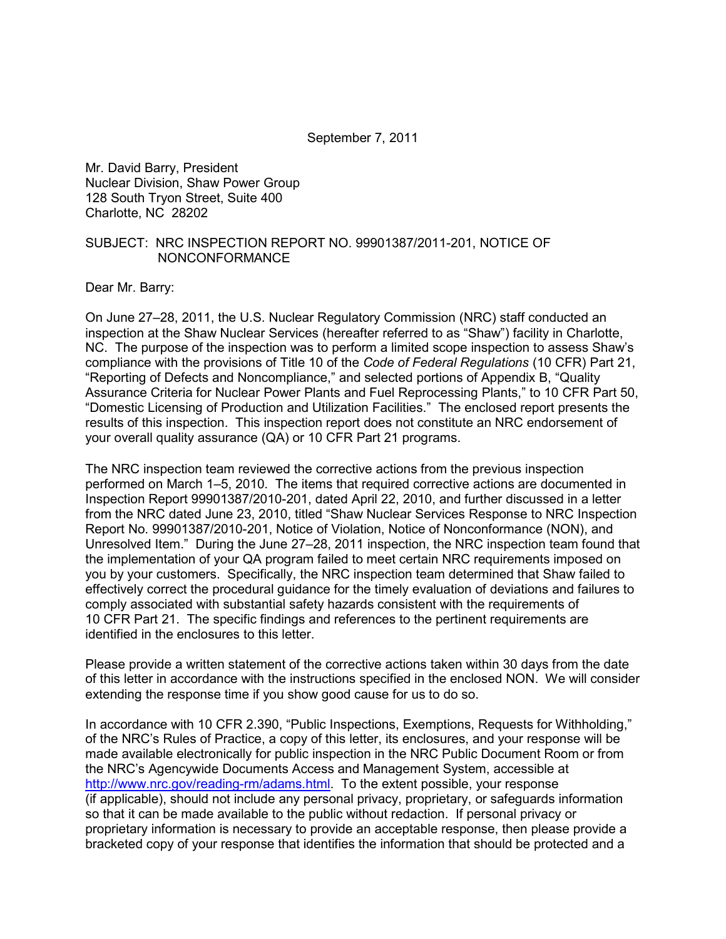September 7, 2011

Mr. David Barry, President Nuclear Division, Shaw Power Group 128 South Tryon Street, Suite 400 Charlotte, NC 28202

#### SUBJECT: NRC INSPECTION REPORT NO. 99901387/2011-201, NOTICE OF NONCONFORMANCE

Dear Mr. Barry:

On June 27–28, 2011, the U.S. Nuclear Regulatory Commission (NRC) staff conducted an inspection at the Shaw Nuclear Services (hereafter referred to as "Shaw") facility in Charlotte, NC. The purpose of the inspection was to perform a limited scope inspection to assess Shaw's compliance with the provisions of Title 10 of the *Code of Federal Regulations* (10 CFR) Part 21, "Reporting of Defects and Noncompliance," and selected portions of Appendix B, "Quality Assurance Criteria for Nuclear Power Plants and Fuel Reprocessing Plants," to 10 CFR Part 50, "Domestic Licensing of Production and Utilization Facilities." The enclosed report presents the results of this inspection. This inspection report does not constitute an NRC endorsement of your overall quality assurance (QA) or 10 CFR Part 21 programs.

The NRC inspection team reviewed the corrective actions from the previous inspection performed on March 1–5, 2010. The items that required corrective actions are documented in Inspection Report 99901387/2010-201, dated April 22, 2010, and further discussed in a letter from the NRC dated June 23, 2010, titled "Shaw Nuclear Services Response to NRC Inspection Report No. 99901387/2010-201, Notice of Violation, Notice of Nonconformance (NON), and Unresolved Item." During the June 27–28, 2011 inspection, the NRC inspection team found that the implementation of your QA program failed to meet certain NRC requirements imposed on you by your customers. Specifically, the NRC inspection team determined that Shaw failed to effectively correct the procedural guidance for the timely evaluation of deviations and failures to comply associated with substantial safety hazards consistent with the requirements of 10 CFR Part 21. The specific findings and references to the pertinent requirements are identified in the enclosures to this letter.

Please provide a written statement of the corrective actions taken within 30 days from the date of this letter in accordance with the instructions specified in the enclosed NON. We will consider extending the response time if you show good cause for us to do so.

In accordance with 10 CFR 2.390, "Public Inspections, Exemptions, Requests for Withholding," of the NRC's Rules of Practice, a copy of this letter, its enclosures, and your response will be made available electronically for public inspection in the NRC Public Document Room or from the NRC's Agencywide Documents Access and Management System, accessible at [http://www.nrc.gov/reading-rm/adams.html.](http://www.nrc.gov/reading-rm/adams.html) To the extent possible, your response (if applicable), should not include any personal privacy, proprietary, or safeguards information so that it can be made available to the public without redaction. If personal privacy or proprietary information is necessary to provide an acceptable response, then please provide a bracketed copy of your response that identifies the information that should be protected and a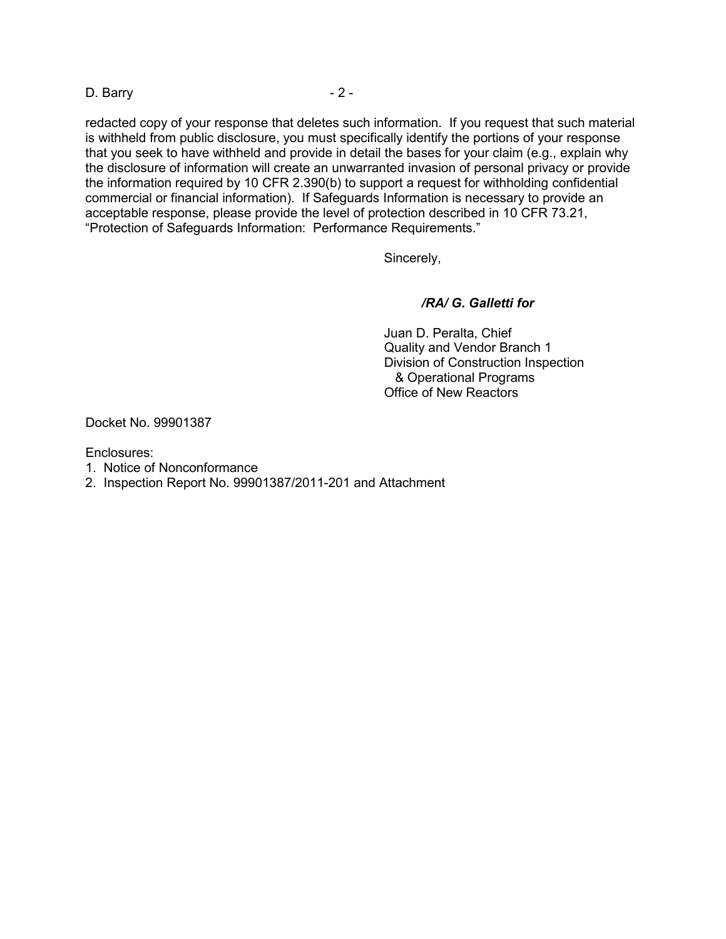D. Barry - 2 -

redacted copy of your response that deletes such information. If you request that such material is withheld from public disclosure, you must specifically identify the portions of your response that you seek to have withheld and provide in detail the bases for your claim (e.g., explain why the disclosure of information will create an unwarranted invasion of personal privacy or provide the information required by 10 CFR 2.390(b) to support a request for withholding confidential commercial or financial information). If Safeguards Information is necessary to provide an acceptable response, please provide the level of protection described in 10 CFR 73.21, "Protection of Safeguards Information: Performance Requirements."

Sincerely,

## */RA/ G. Galletti for*

Juan D. Peralta, Chief Quality and Vendor Branch 1 Division of Construction Inspection & Operational Programs Office of New Reactors

Docket No. 99901387

Enclosures:

- 1. Notice of Nonconformance
- 2. Inspection Report No. 99901387/2011-201 and Attachment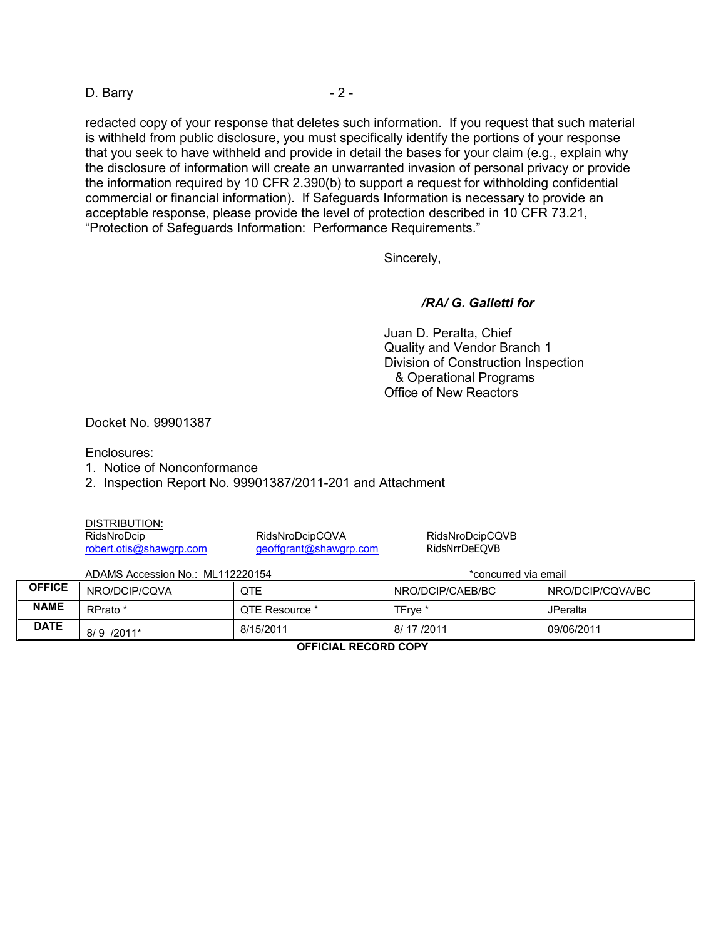D. Barry - 2 -

redacted copy of your response that deletes such information. If you request that such material is withheld from public disclosure, you must specifically identify the portions of your response that you seek to have withheld and provide in detail the bases for your claim (e.g., explain why the disclosure of information will create an unwarranted invasion of personal privacy or provide the information required by 10 CFR 2.390(b) to support a request for withholding confidential commercial or financial information). If Safeguards Information is necessary to provide an acceptable response, please provide the level of protection described in 10 CFR 73.21, "Protection of Safeguards Information: Performance Requirements."

Sincerely,

## */RA/ G. Galletti for*

Juan D. Peralta, Chief Quality and Vendor Branch 1 Division of Construction Inspection & Operational Programs Office of New Reactors

Docket No. 99901387

Enclosures:

1. Notice of Nonconformance

2. Inspection Report No. 99901387/2011-201 and Attachment

DISTRIBUTION:

RidsNroDcip RidsNroDcipCQVA RidsNroDcipCQVB [geoffgrant@shawgrp.com](mailto:geoffgrant@shawgrp.com)

ADAMS Accession No.: ML112220154 **ADAMS** \*concurred via email

| <b>OFFICE</b> | NRO/DCIP/CQVA | QTE            | NRO/DCIP/CAEB/BC   | NRO/DCIP/CQVA/BC |
|---------------|---------------|----------------|--------------------|------------------|
| <b>NAME</b>   | RPrato *      | QTE Resource * | TFrye <sup>*</sup> | JPeralta         |
| <b>DATE</b>   | $8/9$ /2011*  | 8/15/2011      | 8/17/2011          | 09/06/2011       |

**OFFICIAL RECORD COPY**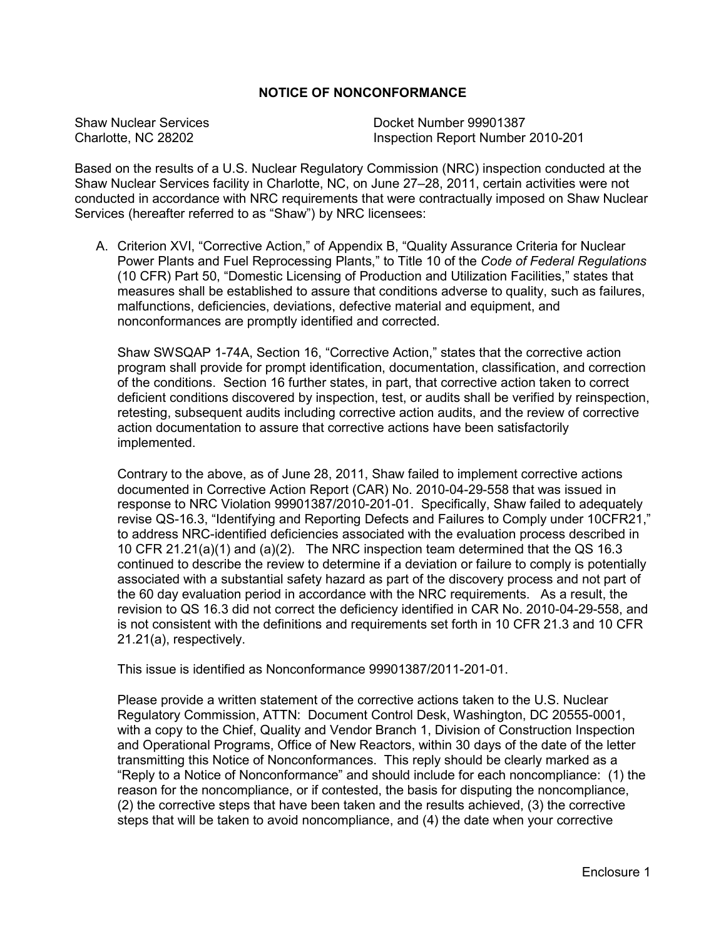## **NOTICE OF NONCONFORMANCE**

Shaw Nuclear Services Docket Number 99901387 Charlotte, NC 28202 Inspection Report Number 2010-201

Based on the results of a U.S. Nuclear Regulatory Commission (NRC) inspection conducted at the Shaw Nuclear Services facility in Charlotte, NC, on June 27–28, 2011, certain activities were not conducted in accordance with NRC requirements that were contractually imposed on Shaw Nuclear Services (hereafter referred to as "Shaw") by NRC licensees:

A. Criterion XVI, "Corrective Action," of Appendix B, "Quality Assurance Criteria for Nuclear Power Plants and Fuel Reprocessing Plants," to Title 10 of the *Code of Federal Regulations* (10 CFR) Part 50, "Domestic Licensing of Production and Utilization Facilities," states that measures shall be established to assure that conditions adverse to quality, such as failures, malfunctions, deficiencies, deviations, defective material and equipment, and nonconformances are promptly identified and corrected.

Shaw SWSQAP 1-74A, Section 16, "Corrective Action," states that the corrective action program shall provide for prompt identification, documentation, classification, and correction of the conditions. Section 16 further states, in part, that corrective action taken to correct deficient conditions discovered by inspection, test, or audits shall be verified by reinspection, retesting, subsequent audits including corrective action audits, and the review of corrective action documentation to assure that corrective actions have been satisfactorily implemented.

Contrary to the above, as of June 28, 2011, Shaw failed to implement corrective actions documented in Corrective Action Report (CAR) No. 2010-04-29-558 that was issued in response to NRC Violation 99901387/2010-201-01. Specifically, Shaw failed to adequately revise QS-16.3, "Identifying and Reporting Defects and Failures to Comply under 10CFR21," to address NRC-identified deficiencies associated with the evaluation process described in 10 CFR 21.21(a)(1) and (a)(2). The NRC inspection team determined that the QS 16.3 continued to describe the review to determine if a deviation or failure to comply is potentially associated with a substantial safety hazard as part of the discovery process and not part of the 60 day evaluation period in accordance with the NRC requirements. As a result, the revision to QS 16.3 did not correct the deficiency identified in CAR No. 2010-04-29-558, and is not consistent with the definitions and requirements set forth in 10 CFR 21.3 and 10 CFR 21.21(a), respectively.

This issue is identified as Nonconformance 99901387/2011-201-01.

Please provide a written statement of the corrective actions taken to the U.S. Nuclear Regulatory Commission, ATTN: Document Control Desk, Washington, DC 20555-0001, with a copy to the Chief, Quality and Vendor Branch 1, Division of Construction Inspection and Operational Programs, Office of New Reactors, within 30 days of the date of the letter transmitting this Notice of Nonconformances. This reply should be clearly marked as a "Reply to a Notice of Nonconformance" and should include for each noncompliance: (1) the reason for the noncompliance, or if contested, the basis for disputing the noncompliance, (2) the corrective steps that have been taken and the results achieved, (3) the corrective steps that will be taken to avoid noncompliance, and (4) the date when your corrective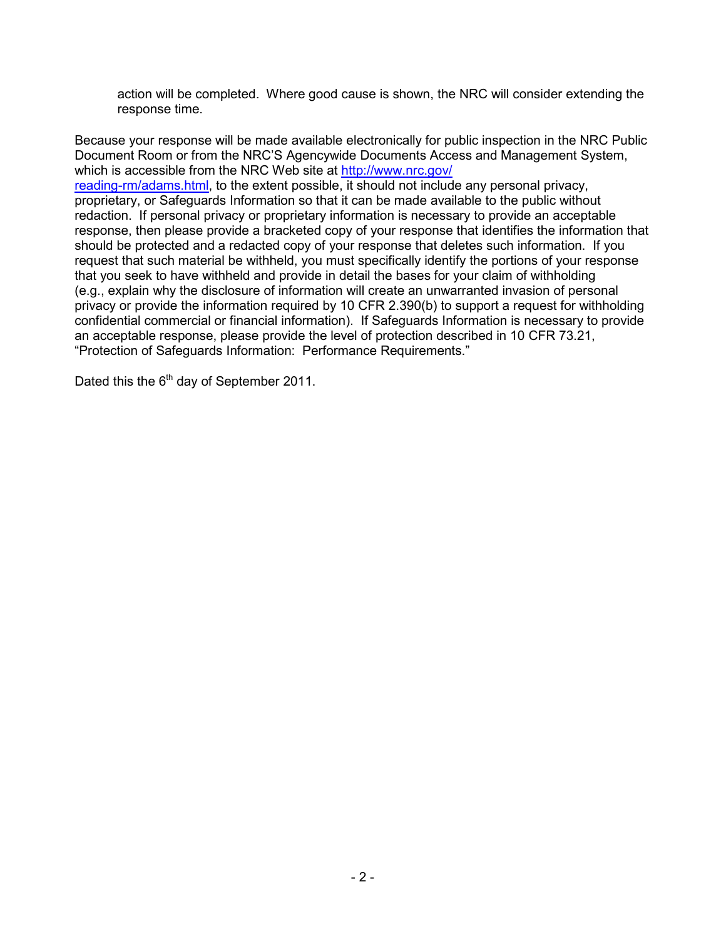action will be completed. Where good cause is shown, the NRC will consider extending the response time.

Because your response will be made available electronically for public inspection in the NRC Public Document Room or from the NRC'S Agencywide Documents Access and Management System, which is accessible from the NRC Web site at [http://www.nrc.gov/](http://www.nrc.gov/reading-rm/adams.html)

[reading-rm/adams.html,](http://www.nrc.gov/reading-rm/adams.html) to the extent possible, it should not include any personal privacy, proprietary, or Safeguards Information so that it can be made available to the public without redaction. If personal privacy or proprietary information is necessary to provide an acceptable response, then please provide a bracketed copy of your response that identifies the information that should be protected and a redacted copy of your response that deletes such information. If you request that such material be withheld, you must specifically identify the portions of your response that you seek to have withheld and provide in detail the bases for your claim of withholding (e.g., explain why the disclosure of information will create an unwarranted invasion of personal privacy or provide the information required by 10 CFR 2.390(b) to support a request for withholding confidential commercial or financial information). If Safeguards Information is necessary to provide an acceptable response, please provide the level of protection described in 10 CFR 73.21, "Protection of Safeguards Information: Performance Requirements."

Dated this the  $6<sup>th</sup>$  day of September 2011.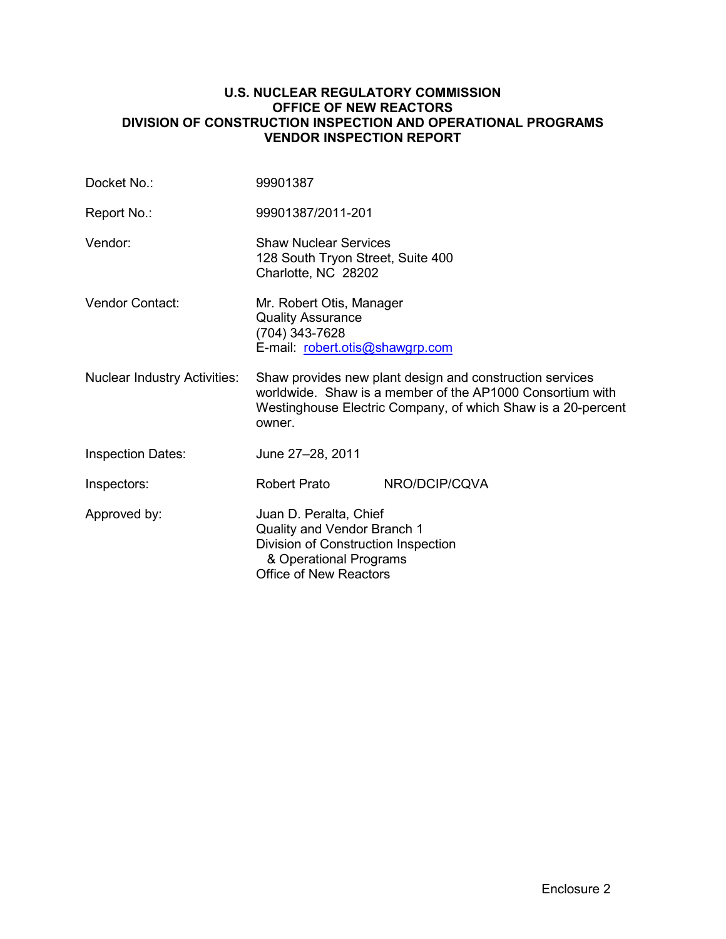### **U.S. NUCLEAR REGULATORY COMMISSION OFFICE OF NEW REACTORS DIVISION OF CONSTRUCTION INSPECTION AND OPERATIONAL PROGRAMS VENDOR INSPECTION REPORT**

| Docket No.:                         | 99901387                                                                                                                                                                                        |               |  |
|-------------------------------------|-------------------------------------------------------------------------------------------------------------------------------------------------------------------------------------------------|---------------|--|
| Report No.:                         | 99901387/2011-201                                                                                                                                                                               |               |  |
| Vendor:                             | <b>Shaw Nuclear Services</b><br>128 South Tryon Street, Suite 400<br>Charlotte, NC 28202                                                                                                        |               |  |
| Vendor Contact:                     | Mr. Robert Otis, Manager<br><b>Quality Assurance</b><br>(704) 343-7628<br>E-mail: robert.otis@shawgrp.com                                                                                       |               |  |
| <b>Nuclear Industry Activities:</b> | Shaw provides new plant design and construction services<br>worldwide. Shaw is a member of the AP1000 Consortium with<br>Westinghouse Electric Company, of which Shaw is a 20-percent<br>owner. |               |  |
| <b>Inspection Dates:</b>            | June 27-28, 2011                                                                                                                                                                                |               |  |
| Inspectors:                         | <b>Robert Prato</b>                                                                                                                                                                             | NRO/DCIP/CQVA |  |
| Approved by:                        | Juan D. Peralta, Chief<br>Quality and Vendor Branch 1<br>Division of Construction Inspection<br>& Operational Programs<br><b>Office of New Reactors</b>                                         |               |  |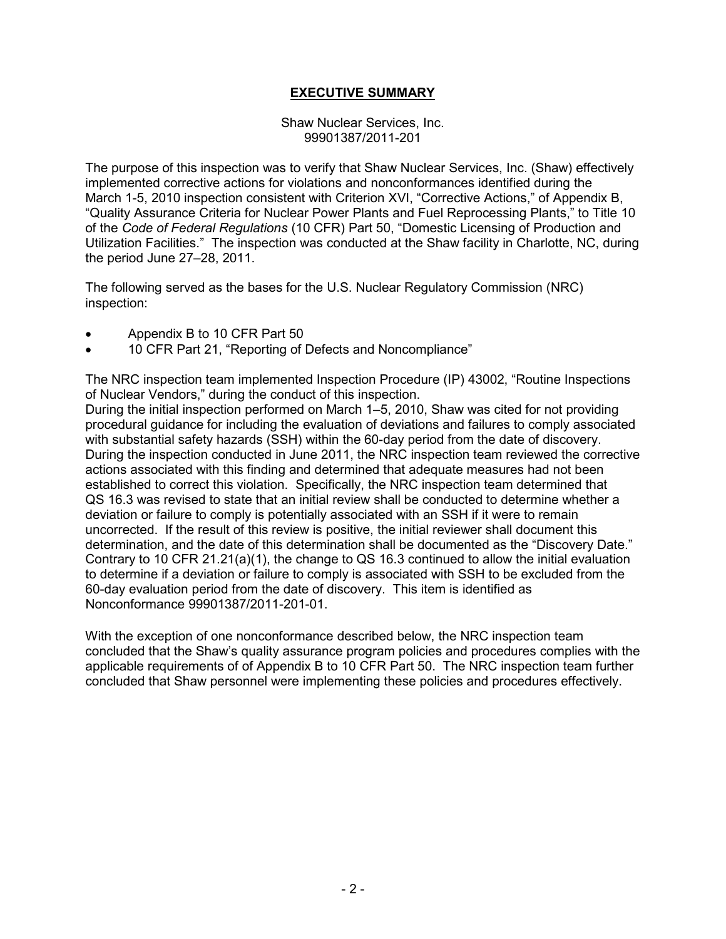## **EXECUTIVE SUMMARY**

Shaw Nuclear Services, Inc. 99901387/2011-201

The purpose of this inspection was to verify that Shaw Nuclear Services, Inc. (Shaw) effectively implemented corrective actions for violations and nonconformances identified during the March 1-5, 2010 inspection consistent with Criterion XVI, "Corrective Actions," of Appendix B, "Quality Assurance Criteria for Nuclear Power Plants and Fuel Reprocessing Plants," to Title 10 of the *Code of Federal Regulations* (10 CFR) Part 50, "Domestic Licensing of Production and Utilization Facilities." The inspection was conducted at the Shaw facility in Charlotte, NC, during the period June 27–28, 2011.

The following served as the bases for the U.S. Nuclear Regulatory Commission (NRC) inspection:

- Appendix B to 10 CFR Part 50
- 10 CFR Part 21, "Reporting of Defects and Noncompliance"

The NRC inspection team implemented Inspection Procedure (IP) 43002, "Routine Inspections of Nuclear Vendors," during the conduct of this inspection.

During the initial inspection performed on March 1–5, 2010, Shaw was cited for not providing procedural guidance for including the evaluation of deviations and failures to comply associated with substantial safety hazards (SSH) within the 60-day period from the date of discovery. During the inspection conducted in June 2011, the NRC inspection team reviewed the corrective actions associated with this finding and determined that adequate measures had not been established to correct this violation. Specifically, the NRC inspection team determined that QS 16.3 was revised to state that an initial review shall be conducted to determine whether a deviation or failure to comply is potentially associated with an SSH if it were to remain uncorrected. If the result of this review is positive, the initial reviewer shall document this determination, and the date of this determination shall be documented as the "Discovery Date." Contrary to 10 CFR 21.21(a)(1), the change to QS 16.3 continued to allow the initial evaluation to determine if a deviation or failure to comply is associated with SSH to be excluded from the 60-day evaluation period from the date of discovery. This item is identified as Nonconformance 99901387/2011-201-01.

With the exception of one nonconformance described below, the NRC inspection team concluded that the Shaw's quality assurance program policies and procedures complies with the applicable requirements of of Appendix B to 10 CFR Part 50. The NRC inspection team further concluded that Shaw personnel were implementing these policies and procedures effectively.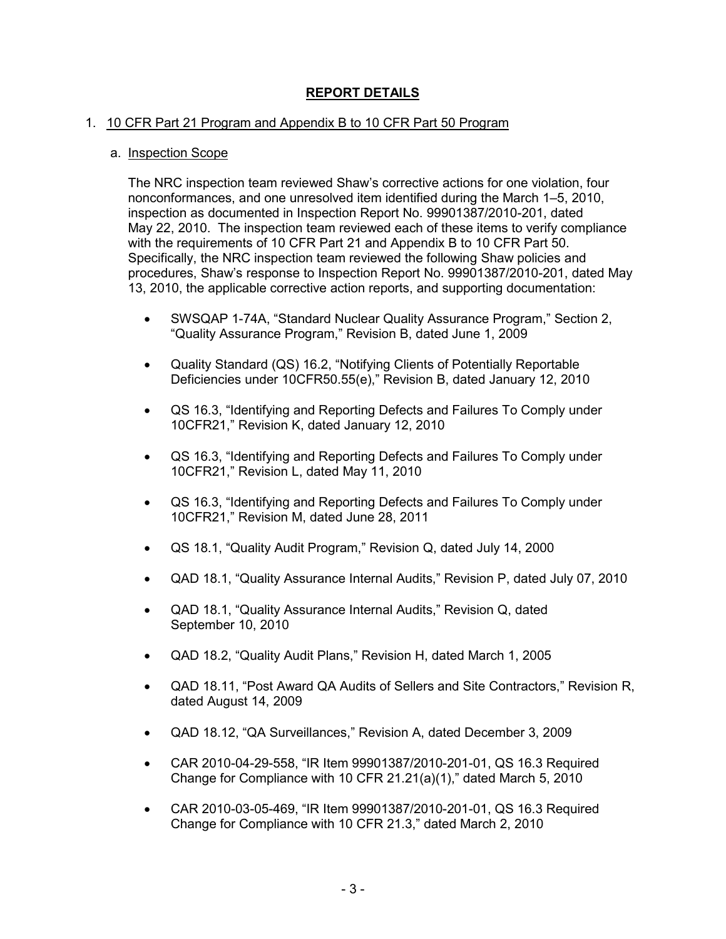# **REPORT DETAILS**

## 1. 10 CFR Part 21 Program and Appendix B to 10 CFR Part 50 Program

#### a. Inspection Scope

The NRC inspection team reviewed Shaw's corrective actions for one violation, four nonconformances, and one unresolved item identified during the March 1–5, 2010, inspection as documented in Inspection Report No. 99901387/2010-201, dated May 22, 2010. The inspection team reviewed each of these items to verify compliance with the requirements of 10 CFR Part 21 and Appendix B to 10 CFR Part 50. Specifically, the NRC inspection team reviewed the following Shaw policies and procedures, Shaw's response to Inspection Report No. 99901387/2010-201, dated May 13, 2010, the applicable corrective action reports, and supporting documentation:

- SWSQAP 1-74A, "Standard Nuclear Quality Assurance Program," Section 2, "Quality Assurance Program," Revision B, dated June 1, 2009
- Quality Standard (QS) 16.2, "Notifying Clients of Potentially Reportable Deficiencies under 10CFR50.55(e)," Revision B, dated January 12, 2010
- QS 16.3, "Identifying and Reporting Defects and Failures To Comply under 10CFR21," Revision K, dated January 12, 2010
- QS 16.3, "Identifying and Reporting Defects and Failures To Comply under 10CFR21," Revision L, dated May 11, 2010
- QS 16.3, "Identifying and Reporting Defects and Failures To Comply under 10CFR21," Revision M, dated June 28, 2011
- QS 18.1, "Quality Audit Program," Revision Q, dated July 14, 2000
- QAD 18.1, "Quality Assurance Internal Audits," Revision P, dated July 07, 2010
- QAD 18.1, "Quality Assurance Internal Audits," Revision Q, dated September 10, 2010
- QAD 18.2, "Quality Audit Plans," Revision H, dated March 1, 2005
- QAD 18.11, "Post Award QA Audits of Sellers and Site Contractors," Revision R, dated August 14, 2009
- QAD 18.12, "QA Surveillances," Revision A, dated December 3, 2009
- CAR 2010-04-29-558, "IR Item 99901387/2010-201-01, QS 16.3 Required Change for Compliance with 10 CFR 21.21(a)(1)," dated March 5, 2010
- CAR 2010-03-05-469, "IR Item 99901387/2010-201-01, QS 16.3 Required Change for Compliance with 10 CFR 21.3," dated March 2, 2010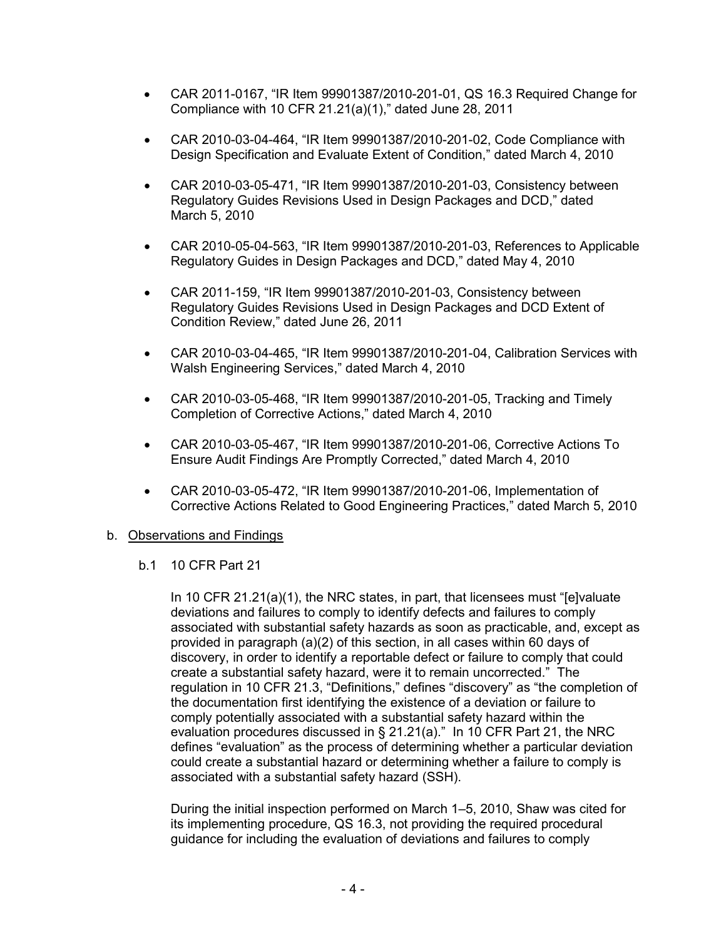- CAR 2011-0167, "IR Item 99901387/2010-201-01, QS 16.3 Required Change for Compliance with 10 CFR 21.21(a)(1)," dated June 28, 2011
- CAR 2010-03-04-464, "IR Item 99901387/2010-201-02, Code Compliance with Design Specification and Evaluate Extent of Condition," dated March 4, 2010
- CAR 2010-03-05-471, "IR Item 99901387/2010-201-03, Consistency between Regulatory Guides Revisions Used in Design Packages and DCD," dated March 5, 2010
- CAR 2010-05-04-563, "IR Item 99901387/2010-201-03, References to Applicable Regulatory Guides in Design Packages and DCD," dated May 4, 2010
- CAR 2011-159, "IR Item 99901387/2010-201-03, Consistency between Regulatory Guides Revisions Used in Design Packages and DCD Extent of Condition Review," dated June 26, 2011
- CAR 2010-03-04-465, "IR Item 99901387/2010-201-04, Calibration Services with Walsh Engineering Services," dated March 4, 2010
- CAR 2010-03-05-468, "IR Item 99901387/2010-201-05, Tracking and Timely Completion of Corrective Actions," dated March 4, 2010
- CAR 2010-03-05-467, "IR Item 99901387/2010-201-06, Corrective Actions To Ensure Audit Findings Are Promptly Corrected," dated March 4, 2010
- CAR 2010-03-05-472, "IR Item 99901387/2010-201-06, Implementation of Corrective Actions Related to Good Engineering Practices," dated March 5, 2010

## b. Observations and Findings

#### b.1 10 CFR Part 21

In 10 CFR 21.21(a)(1), the NRC states, in part, that licensees must "[e]valuate deviations and failures to comply to identify defects and failures to comply associated with substantial safety hazards as soon as practicable, and, except as provided in paragraph (a)(2) of this section, in all cases within 60 days of discovery, in order to identify a reportable defect or failure to comply that could create a substantial safety hazard, were it to remain uncorrected." The regulation in 10 CFR 21.3, "Definitions," defines "discovery" as "the completion of the documentation first identifying the existence of a deviation or failure to comply potentially associated with a substantial safety hazard within the evaluation procedures discussed in § 21.21(a)." In 10 CFR Part 21, the NRC defines "evaluation" as the process of determining whether a particular deviation could create a substantial hazard or determining whether a failure to comply is associated with a substantial safety hazard (SSH).

During the initial inspection performed on March 1–5, 2010, Shaw was cited for its implementing procedure, QS 16.3, not providing the required procedural guidance for including the evaluation of deviations and failures to comply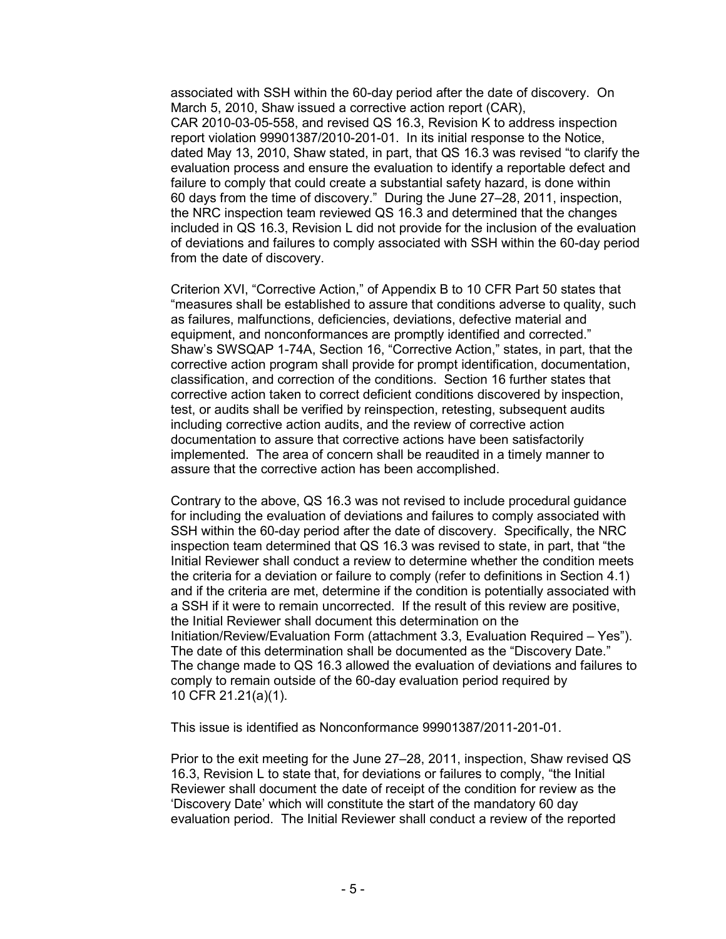associated with SSH within the 60-day period after the date of discovery. On March 5, 2010, Shaw issued a corrective action report (CAR), CAR 2010-03-05-558, and revised QS 16.3, Revision K to address inspection report violation 99901387/2010-201-01. In its initial response to the Notice, dated May 13, 2010, Shaw stated, in part, that QS 16.3 was revised "to clarify the evaluation process and ensure the evaluation to identify a reportable defect and failure to comply that could create a substantial safety hazard, is done within 60 days from the time of discovery." During the June 27–28, 2011, inspection, the NRC inspection team reviewed QS 16.3 and determined that the changes included in QS 16.3, Revision L did not provide for the inclusion of the evaluation of deviations and failures to comply associated with SSH within the 60-day period from the date of discovery.

Criterion XVI, "Corrective Action," of Appendix B to 10 CFR Part 50 states that "measures shall be established to assure that conditions adverse to quality, such as failures, malfunctions, deficiencies, deviations, defective material and equipment, and nonconformances are promptly identified and corrected." Shaw's SWSQAP 1-74A, Section 16, "Corrective Action," states, in part, that the corrective action program shall provide for prompt identification, documentation, classification, and correction of the conditions. Section 16 further states that corrective action taken to correct deficient conditions discovered by inspection, test, or audits shall be verified by reinspection, retesting, subsequent audits including corrective action audits, and the review of corrective action documentation to assure that corrective actions have been satisfactorily implemented. The area of concern shall be reaudited in a timely manner to assure that the corrective action has been accomplished.

Contrary to the above, QS 16.3 was not revised to include procedural guidance for including the evaluation of deviations and failures to comply associated with SSH within the 60-day period after the date of discovery. Specifically, the NRC inspection team determined that QS 16.3 was revised to state, in part, that "the Initial Reviewer shall conduct a review to determine whether the condition meets the criteria for a deviation or failure to comply (refer to definitions in Section 4.1) and if the criteria are met, determine if the condition is potentially associated with a SSH if it were to remain uncorrected. If the result of this review are positive, the Initial Reviewer shall document this determination on the Initiation/Review/Evaluation Form (attachment 3.3, Evaluation Required – Yes"). The date of this determination shall be documented as the "Discovery Date." The change made to QS 16.3 allowed the evaluation of deviations and failures to comply to remain outside of the 60-day evaluation period required by 10 CFR 21.21(a)(1).

This issue is identified as Nonconformance 99901387/2011-201-01.

Prior to the exit meeting for the June 27–28, 2011, inspection, Shaw revised QS 16.3, Revision L to state that, for deviations or failures to comply, "the Initial Reviewer shall document the date of receipt of the condition for review as the 'Discovery Date' which will constitute the start of the mandatory 60 day evaluation period. The Initial Reviewer shall conduct a review of the reported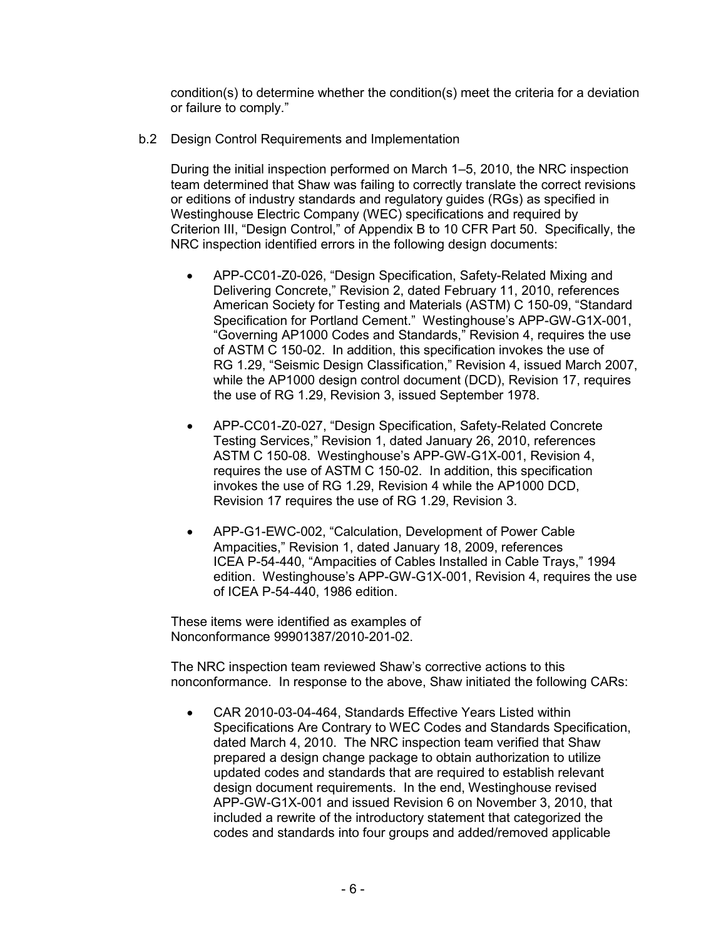condition(s) to determine whether the condition(s) meet the criteria for a deviation or failure to comply."

b.2 Design Control Requirements and Implementation

During the initial inspection performed on March 1–5, 2010, the NRC inspection team determined that Shaw was failing to correctly translate the correct revisions or editions of industry standards and regulatory guides (RGs) as specified in Westinghouse Electric Company (WEC) specifications and required by Criterion III, "Design Control," of Appendix B to 10 CFR Part 50. Specifically, the NRC inspection identified errors in the following design documents:

- APP-CC01-Z0-026, "Design Specification, Safety-Related Mixing and Delivering Concrete," Revision 2, dated February 11, 2010, references American Society for Testing and Materials (ASTM) C 150-09, "Standard Specification for Portland Cement." Westinghouse's APP-GW-G1X-001, "Governing AP1000 Codes and Standards," Revision 4, requires the use of ASTM C 150-02. In addition, this specification invokes the use of RG 1.29, "Seismic Design Classification," Revision 4, issued March 2007, while the AP1000 design control document (DCD), Revision 17, requires the use of RG 1.29, Revision 3, issued September 1978.
- APP-CC01-Z0-027, "Design Specification, Safety-Related Concrete Testing Services," Revision 1, dated January 26, 2010, references ASTM C 150-08. Westinghouse's APP-GW-G1X-001, Revision 4, requires the use of ASTM C 150-02. In addition, this specification invokes the use of RG 1.29, Revision 4 while the AP1000 DCD, Revision 17 requires the use of RG 1.29, Revision 3.
- APP-G1-EWC-002, "Calculation, Development of Power Cable Ampacities," Revision 1, dated January 18, 2009, references ICEA P-54-440, "Ampacities of Cables Installed in Cable Trays," 1994 edition. Westinghouse's APP-GW-G1X-001, Revision 4, requires the use of ICEA P-54-440, 1986 edition.

These items were identified as examples of Nonconformance 99901387/2010-201-02.

The NRC inspection team reviewed Shaw's corrective actions to this nonconformance. In response to the above, Shaw initiated the following CARs:

• CAR 2010-03-04-464, Standards Effective Years Listed within Specifications Are Contrary to WEC Codes and Standards Specification, dated March 4, 2010. The NRC inspection team verified that Shaw prepared a design change package to obtain authorization to utilize updated codes and standards that are required to establish relevant design document requirements. In the end, Westinghouse revised APP-GW-G1X-001 and issued Revision 6 on November 3, 2010, that included a rewrite of the introductory statement that categorized the codes and standards into four groups and added/removed applicable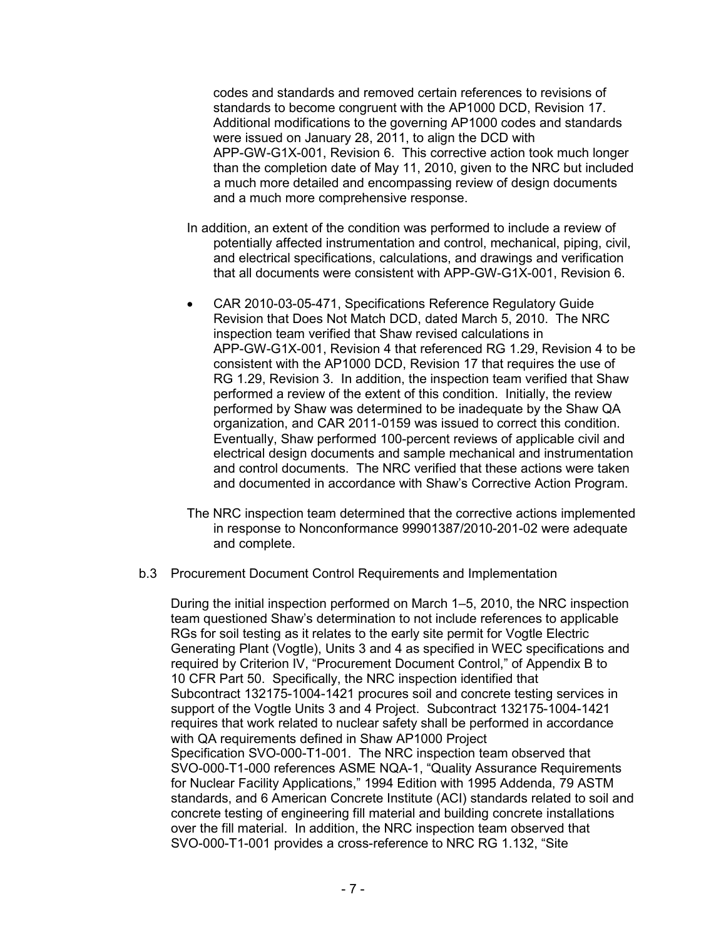codes and standards and removed certain references to revisions of standards to become congruent with the AP1000 DCD, Revision 17. Additional modifications to the governing AP1000 codes and standards were issued on January 28, 2011, to align the DCD with APP-GW-G1X-001, Revision 6. This corrective action took much longer than the completion date of May 11, 2010, given to the NRC but included a much more detailed and encompassing review of design documents and a much more comprehensive response.

- In addition, an extent of the condition was performed to include a review of potentially affected instrumentation and control, mechanical, piping, civil, and electrical specifications, calculations, and drawings and verification that all documents were consistent with APP-GW-G1X-001, Revision 6.
- CAR 2010-03-05-471, Specifications Reference Regulatory Guide Revision that Does Not Match DCD, dated March 5, 2010. The NRC inspection team verified that Shaw revised calculations in APP-GW-G1X-001, Revision 4 that referenced RG 1.29, Revision 4 to be consistent with the AP1000 DCD, Revision 17 that requires the use of RG 1.29, Revision 3. In addition, the inspection team verified that Shaw performed a review of the extent of this condition. Initially, the review performed by Shaw was determined to be inadequate by the Shaw QA organization, and CAR 2011-0159 was issued to correct this condition. Eventually, Shaw performed 100-percent reviews of applicable civil and electrical design documents and sample mechanical and instrumentation and control documents. The NRC verified that these actions were taken and documented in accordance with Shaw's Corrective Action Program.
- The NRC inspection team determined that the corrective actions implemented in response to Nonconformance 99901387/2010-201-02 were adequate and complete.
- b.3 Procurement Document Control Requirements and Implementation

During the initial inspection performed on March 1–5, 2010, the NRC inspection team questioned Shaw's determination to not include references to applicable RGs for soil testing as it relates to the early site permit for Vogtle Electric Generating Plant (Vogtle), Units 3 and 4 as specified in WEC specifications and required by Criterion IV, "Procurement Document Control," of Appendix B to 10 CFR Part 50. Specifically, the NRC inspection identified that Subcontract 132175-1004-1421 procures soil and concrete testing services in support of the Vogtle Units 3 and 4 Project. Subcontract 132175-1004-1421 requires that work related to nuclear safety shall be performed in accordance with QA requirements defined in Shaw AP1000 Project Specification SVO-000-T1-001. The NRC inspection team observed that SVO-000-T1-000 references ASME NQA-1, "Quality Assurance Requirements for Nuclear Facility Applications," 1994 Edition with 1995 Addenda, 79 ASTM standards, and 6 American Concrete Institute (ACI) standards related to soil and concrete testing of engineering fill material and building concrete installations over the fill material. In addition, the NRC inspection team observed that SVO-000-T1-001 provides a cross-reference to NRC RG 1.132, "Site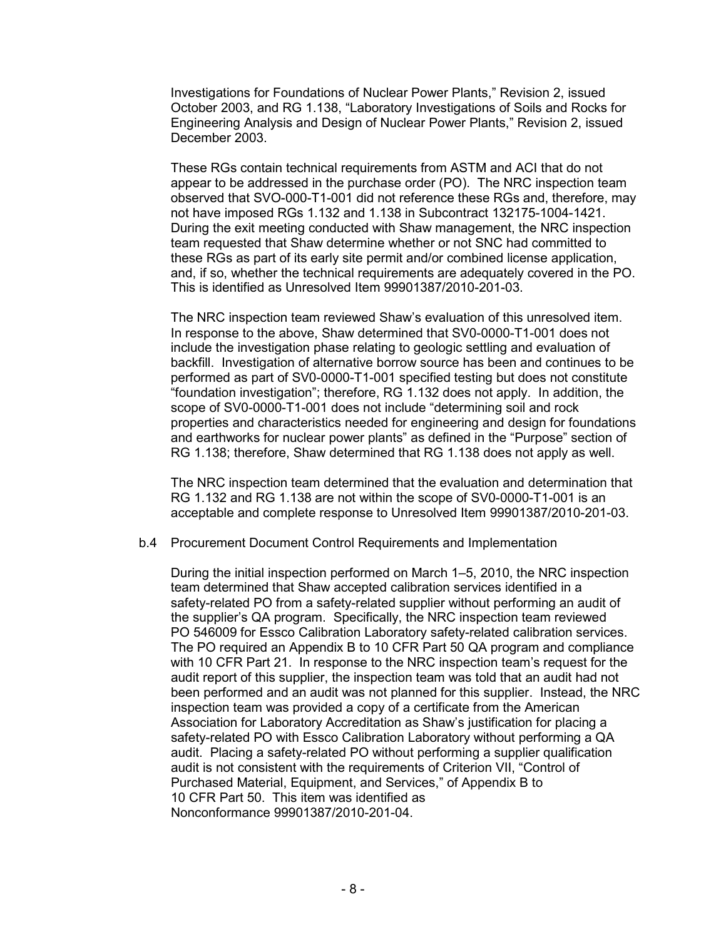Investigations for Foundations of Nuclear Power Plants," Revision 2, issued October 2003, and RG 1.138, "Laboratory Investigations of Soils and Rocks for Engineering Analysis and Design of Nuclear Power Plants," Revision 2, issued December 2003.

These RGs contain technical requirements from ASTM and ACI that do not appear to be addressed in the purchase order (PO). The NRC inspection team observed that SVO-000-T1-001 did not reference these RGs and, therefore, may not have imposed RGs 1.132 and 1.138 in Subcontract 132175-1004-1421. During the exit meeting conducted with Shaw management, the NRC inspection team requested that Shaw determine whether or not SNC had committed to these RGs as part of its early site permit and/or combined license application, and, if so, whether the technical requirements are adequately covered in the PO. This is identified as Unresolved Item 99901387/2010-201-03.

The NRC inspection team reviewed Shaw's evaluation of this unresolved item. In response to the above, Shaw determined that SV0-0000-T1-001 does not include the investigation phase relating to geologic settling and evaluation of backfill. Investigation of alternative borrow source has been and continues to be performed as part of SV0-0000-T1-001 specified testing but does not constitute "foundation investigation"; therefore, RG 1.132 does not apply. In addition, the scope of SV0-0000-T1-001 does not include "determining soil and rock properties and characteristics needed for engineering and design for foundations and earthworks for nuclear power plants" as defined in the "Purpose" section of RG 1.138; therefore, Shaw determined that RG 1.138 does not apply as well.

The NRC inspection team determined that the evaluation and determination that RG 1.132 and RG 1.138 are not within the scope of SV0-0000-T1-001 is an acceptable and complete response to Unresolved Item 99901387/2010-201-03.

#### b.4 Procurement Document Control Requirements and Implementation

During the initial inspection performed on March 1–5, 2010, the NRC inspection team determined that Shaw accepted calibration services identified in a safety-related PO from a safety-related supplier without performing an audit of the supplier's QA program. Specifically, the NRC inspection team reviewed PO 546009 for Essco Calibration Laboratory safety-related calibration services. The PO required an Appendix B to 10 CFR Part 50 QA program and compliance with 10 CFR Part 21. In response to the NRC inspection team's request for the audit report of this supplier, the inspection team was told that an audit had not been performed and an audit was not planned for this supplier. Instead, the NRC inspection team was provided a copy of a certificate from the American Association for Laboratory Accreditation as Shaw's justification for placing a safety-related PO with Essco Calibration Laboratory without performing a QA audit. Placing a safety-related PO without performing a supplier qualification audit is not consistent with the requirements of Criterion VII, "Control of Purchased Material, Equipment, and Services," of Appendix B to 10 CFR Part 50. This item was identified as Nonconformance 99901387/2010-201-04.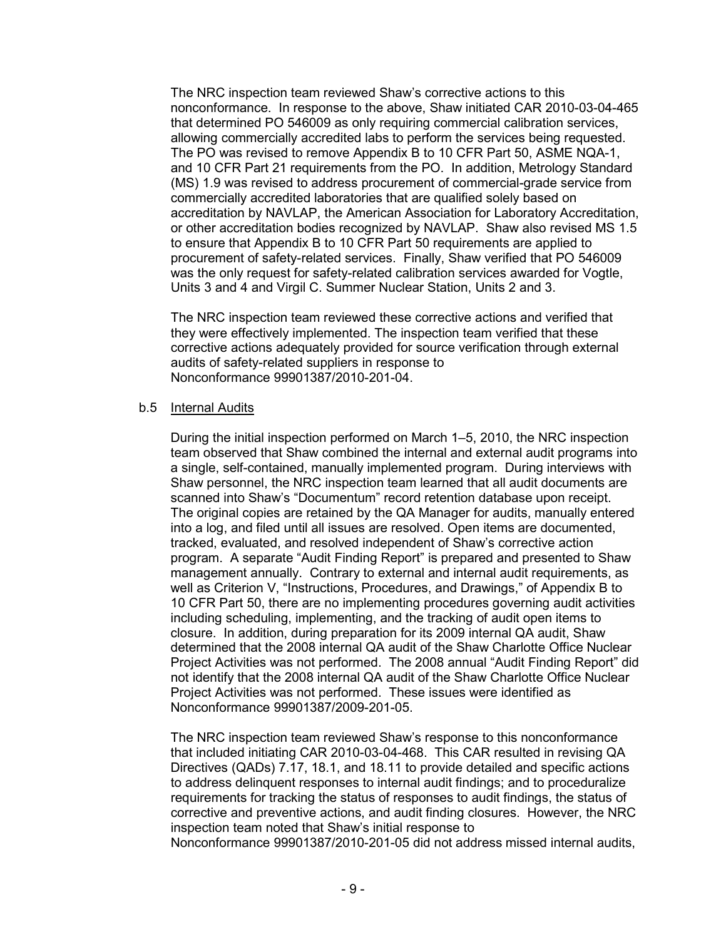The NRC inspection team reviewed Shaw's corrective actions to this nonconformance. In response to the above, Shaw initiated CAR 2010-03-04-465 that determined PO 546009 as only requiring commercial calibration services, allowing commercially accredited labs to perform the services being requested. The PO was revised to remove Appendix B to 10 CFR Part 50, ASME NQA-1, and 10 CFR Part 21 requirements from the PO. In addition, Metrology Standard (MS) 1.9 was revised to address procurement of commercial-grade service from commercially accredited laboratories that are qualified solely based on accreditation by NAVLAP, the American Association for Laboratory Accreditation, or other accreditation bodies recognized by NAVLAP. Shaw also revised MS 1.5 to ensure that Appendix B to 10 CFR Part 50 requirements are applied to procurement of safety-related services. Finally, Shaw verified that PO 546009 was the only request for safety-related calibration services awarded for Vogtle, Units 3 and 4 and Virgil C. Summer Nuclear Station, Units 2 and 3.

The NRC inspection team reviewed these corrective actions and verified that they were effectively implemented. The inspection team verified that these corrective actions adequately provided for source verification through external audits of safety-related suppliers in response to Nonconformance 99901387/2010-201-04.

### b.5 Internal Audits

During the initial inspection performed on March 1–5, 2010, the NRC inspection team observed that Shaw combined the internal and external audit programs into a single, self-contained, manually implemented program. During interviews with Shaw personnel, the NRC inspection team learned that all audit documents are scanned into Shaw's "Documentum" record retention database upon receipt. The original copies are retained by the QA Manager for audits, manually entered into a log, and filed until all issues are resolved. Open items are documented, tracked, evaluated, and resolved independent of Shaw's corrective action program. A separate "Audit Finding Report" is prepared and presented to Shaw management annually. Contrary to external and internal audit requirements, as well as Criterion V, "Instructions, Procedures, and Drawings," of Appendix B to 10 CFR Part 50, there are no implementing procedures governing audit activities including scheduling, implementing, and the tracking of audit open items to closure. In addition, during preparation for its 2009 internal QA audit, Shaw determined that the 2008 internal QA audit of the Shaw Charlotte Office Nuclear Project Activities was not performed. The 2008 annual "Audit Finding Report" did not identify that the 2008 internal QA audit of the Shaw Charlotte Office Nuclear Project Activities was not performed. These issues were identified as Nonconformance 99901387/2009-201-05.

The NRC inspection team reviewed Shaw's response to this nonconformance that included initiating CAR 2010-03-04-468. This CAR resulted in revising QA Directives (QADs) 7.17, 18.1, and 18.11 to provide detailed and specific actions to address delinquent responses to internal audit findings; and to proceduralize requirements for tracking the status of responses to audit findings, the status of corrective and preventive actions, and audit finding closures. However, the NRC inspection team noted that Shaw's initial response to Nonconformance 99901387/2010-201-05 did not address missed internal audits,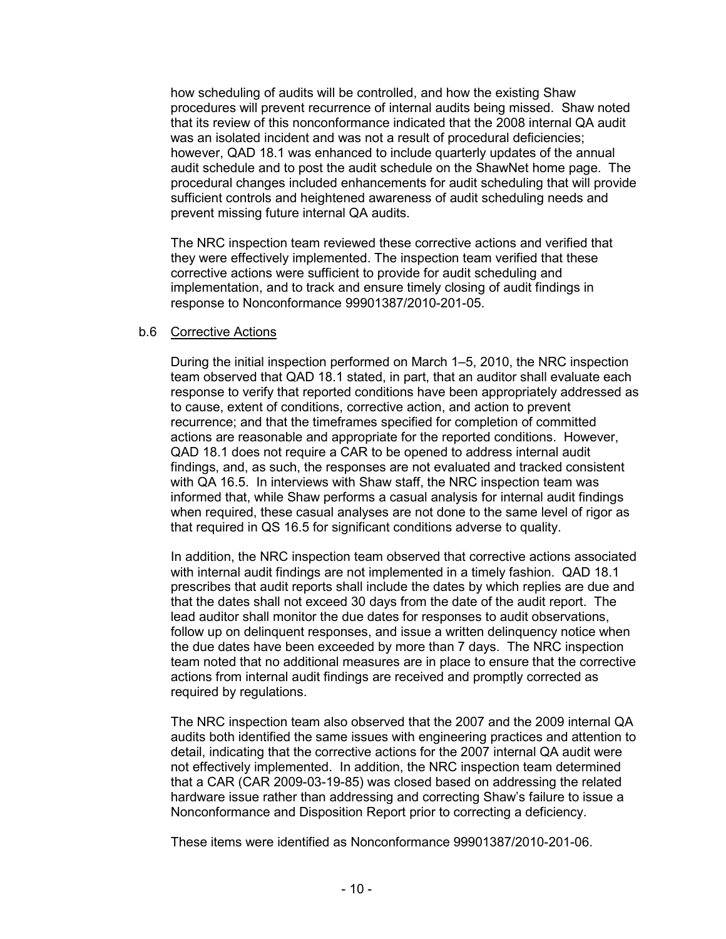how scheduling of audits will be controlled, and how the existing Shaw procedures will prevent recurrence of internal audits being missed. Shaw noted that its review of this nonconformance indicated that the 2008 internal QA audit was an isolated incident and was not a result of procedural deficiencies; however, QAD 18.1 was enhanced to include quarterly updates of the annual audit schedule and to post the audit schedule on the ShawNet home page. The procedural changes included enhancements for audit scheduling that will provide sufficient controls and heightened awareness of audit scheduling needs and prevent missing future internal QA audits.

The NRC inspection team reviewed these corrective actions and verified that they were effectively implemented. The inspection team verified that these corrective actions were sufficient to provide for audit scheduling and implementation, and to track and ensure timely closing of audit findings in response to Nonconformance 99901387/2010-201-05.

#### b.6 Corrective Actions

During the initial inspection performed on March 1–5, 2010, the NRC inspection team observed that QAD 18.1 stated, in part, that an auditor shall evaluate each response to verify that reported conditions have been appropriately addressed as to cause, extent of conditions, corrective action, and action to prevent recurrence; and that the timeframes specified for completion of committed actions are reasonable and appropriate for the reported conditions. However, QAD 18.1 does not require a CAR to be opened to address internal audit findings, and, as such, the responses are not evaluated and tracked consistent with QA 16.5. In interviews with Shaw staff, the NRC inspection team was informed that, while Shaw performs a casual analysis for internal audit findings when required, these casual analyses are not done to the same level of rigor as that required in QS 16.5 for significant conditions adverse to quality.

In addition, the NRC inspection team observed that corrective actions associated with internal audit findings are not implemented in a timely fashion. QAD 18.1 prescribes that audit reports shall include the dates by which replies are due and that the dates shall not exceed 30 days from the date of the audit report. The lead auditor shall monitor the due dates for responses to audit observations, follow up on delinquent responses, and issue a written delinquency notice when the due dates have been exceeded by more than 7 days. The NRC inspection team noted that no additional measures are in place to ensure that the corrective actions from internal audit findings are received and promptly corrected as required by regulations.

The NRC inspection team also observed that the 2007 and the 2009 internal QA audits both identified the same issues with engineering practices and attention to detail, indicating that the corrective actions for the 2007 internal QA audit were not effectively implemented. In addition, the NRC inspection team determined that a CAR (CAR 2009-03-19-85) was closed based on addressing the related hardware issue rather than addressing and correcting Shaw's failure to issue a Nonconformance and Disposition Report prior to correcting a deficiency.

These items were identified as Nonconformance 99901387/2010-201-06.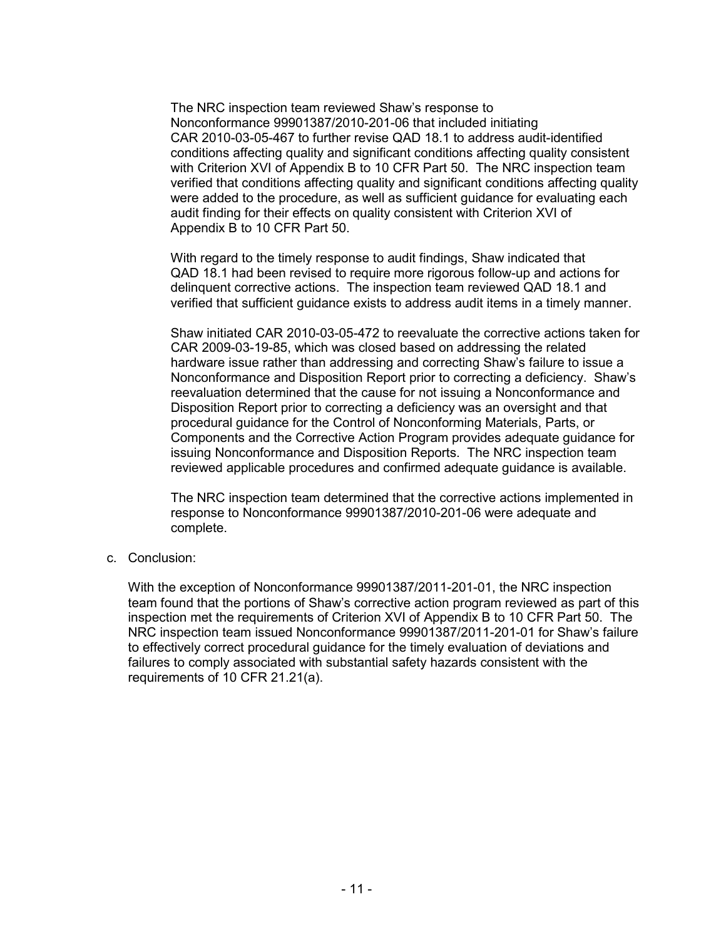The NRC inspection team reviewed Shaw's response to Nonconformance 99901387/2010-201-06 that included initiating CAR 2010-03-05-467 to further revise QAD 18.1 to address audit-identified conditions affecting quality and significant conditions affecting quality consistent with Criterion XVI of Appendix B to 10 CFR Part 50. The NRC inspection team verified that conditions affecting quality and significant conditions affecting quality were added to the procedure, as well as sufficient guidance for evaluating each audit finding for their effects on quality consistent with Criterion XVI of Appendix B to 10 CFR Part 50.

With regard to the timely response to audit findings, Shaw indicated that QAD 18.1 had been revised to require more rigorous follow-up and actions for delinquent corrective actions. The inspection team reviewed QAD 18.1 and verified that sufficient guidance exists to address audit items in a timely manner.

Shaw initiated CAR 2010-03-05-472 to reevaluate the corrective actions taken for CAR 2009-03-19-85, which was closed based on addressing the related hardware issue rather than addressing and correcting Shaw's failure to issue a Nonconformance and Disposition Report prior to correcting a deficiency. Shaw's reevaluation determined that the cause for not issuing a Nonconformance and Disposition Report prior to correcting a deficiency was an oversight and that procedural guidance for the Control of Nonconforming Materials, Parts, or Components and the Corrective Action Program provides adequate guidance for issuing Nonconformance and Disposition Reports. The NRC inspection team reviewed applicable procedures and confirmed adequate guidance is available.

The NRC inspection team determined that the corrective actions implemented in response to Nonconformance 99901387/2010-201-06 were adequate and complete.

c. Conclusion:

With the exception of Nonconformance 99901387/2011-201-01, the NRC inspection team found that the portions of Shaw's corrective action program reviewed as part of this inspection met the requirements of Criterion XVI of Appendix B to 10 CFR Part 50. The NRC inspection team issued Nonconformance 99901387/2011-201-01 for Shaw's failure to effectively correct procedural guidance for the timely evaluation of deviations and failures to comply associated with substantial safety hazards consistent with the requirements of 10 CFR 21.21(a).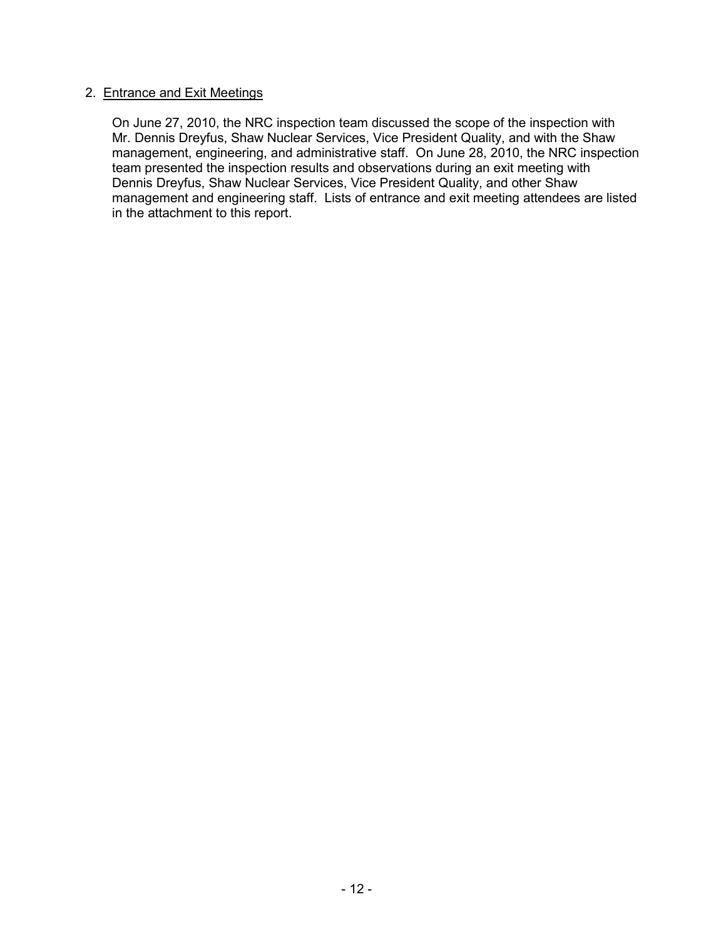## 2. Entrance and Exit Meetings

On June 27, 2010, the NRC inspection team discussed the scope of the inspection with Mr. Dennis Dreyfus, Shaw Nuclear Services, Vice President Quality, and with the Shaw management, engineering, and administrative staff. On June 28, 2010, the NRC inspection team presented the inspection results and observations during an exit meeting with Dennis Dreyfus, Shaw Nuclear Services, Vice President Quality, and other Shaw management and engineering staff. Lists of entrance and exit meeting attendees are listed in the attachment to this report.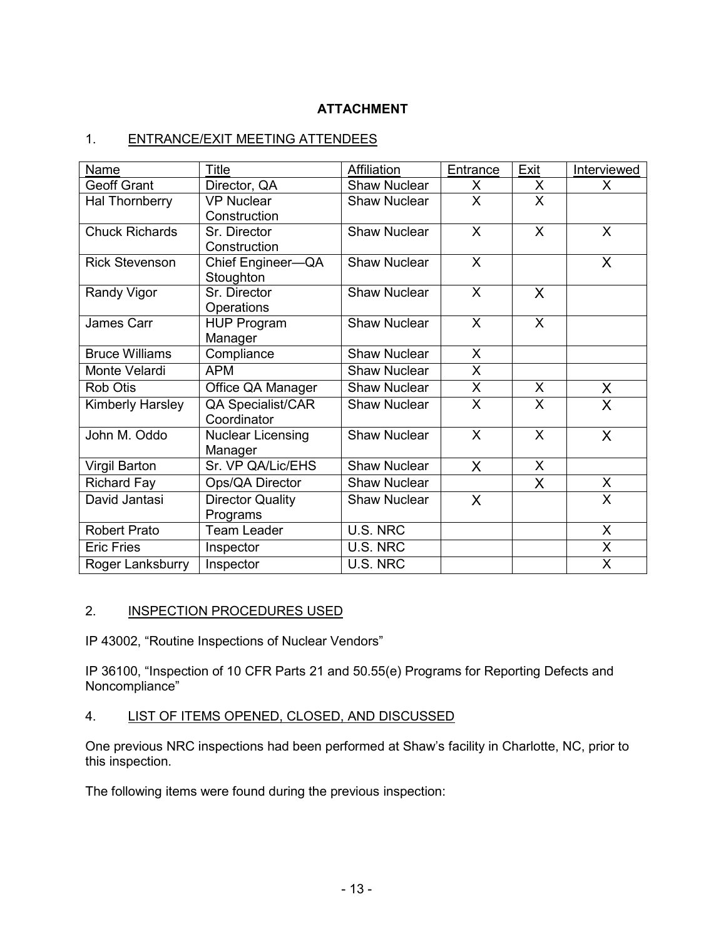# **ATTACHMENT**

# 1. ENTRANCE/EXIT MEETING ATTENDEES

| Name                    | <b>Title</b>                        | Affiliation         | Entrance     | Exit    | Interviewed  |
|-------------------------|-------------------------------------|---------------------|--------------|---------|--------------|
| <b>Geoff Grant</b>      | Director, QA                        | <b>Shaw Nuclear</b> | X.           | X       | X.           |
| Hal Thornberry          | <b>VP Nuclear</b>                   | <b>Shaw Nuclear</b> | X.           | X       |              |
|                         | Construction                        |                     |              |         |              |
| <b>Chuck Richards</b>   | Sr. Director                        | <b>Shaw Nuclear</b> | $\sf X$      | X       | $\mathsf{X}$ |
|                         | Construction                        |                     |              |         |              |
| <b>Rick Stevenson</b>   | Chief Engineer-QA<br>Stoughton      | <b>Shaw Nuclear</b> | $\mathsf{X}$ |         | X            |
| Randy Vigor             | Sr. Director                        | <b>Shaw Nuclear</b> | $\mathsf{X}$ | X       |              |
|                         | Operations                          |                     |              |         |              |
| James Carr              | <b>HUP Program</b>                  | <b>Shaw Nuclear</b> | $\mathsf{X}$ | $\sf X$ |              |
|                         | Manager                             |                     |              |         |              |
| <b>Bruce Williams</b>   | Compliance                          | <b>Shaw Nuclear</b> | $\mathsf{X}$ |         |              |
| Monte Velardi           | <b>APM</b>                          | <b>Shaw Nuclear</b> | X            |         |              |
| Rob Otis                | Office QA Manager                   | <b>Shaw Nuclear</b> | X.           | X       | X            |
| <b>Kimberly Harsley</b> | <b>QA Specialist/CAR</b>            | <b>Shaw Nuclear</b> | X            | X       | $\mathsf{X}$ |
|                         | Coordinator                         |                     |              |         |              |
| John M. Oddo            | <b>Nuclear Licensing</b><br>Manager | <b>Shaw Nuclear</b> | $\mathsf{X}$ | X       | $\sf X$      |
| <b>Virgil Barton</b>    | Sr. VP QA/Lic/EHS                   | <b>Shaw Nuclear</b> | X            | X       |              |
| <b>Richard Fay</b>      | Ops/QA Director                     | <b>Shaw Nuclear</b> |              | X       | $\mathsf{X}$ |
| David Jantasi           | <b>Director Quality</b>             | <b>Shaw Nuclear</b> | $\sf X$      |         | $\mathsf{X}$ |
|                         | Programs                            |                     |              |         |              |
| <b>Robert Prato</b>     | <b>Team Leader</b>                  | U.S. NRC            |              |         | X            |
| <b>Eric Fries</b>       | Inspector                           | U.S. NRC            |              |         | X            |
| Roger Lanksburry        | Inspector                           | U.S. NRC            |              |         | X            |

# 2. INSPECTION PROCEDURES USED

IP 43002, "Routine Inspections of Nuclear Vendors"

IP 36100, "Inspection of 10 CFR Parts 21 and 50.55(e) Programs for Reporting Defects and Noncompliance"

# 4. LIST OF ITEMS OPENED, CLOSED, AND DISCUSSED

One previous NRC inspections had been performed at Shaw's facility in Charlotte, NC, prior to this inspection.

The following items were found during the previous inspection: